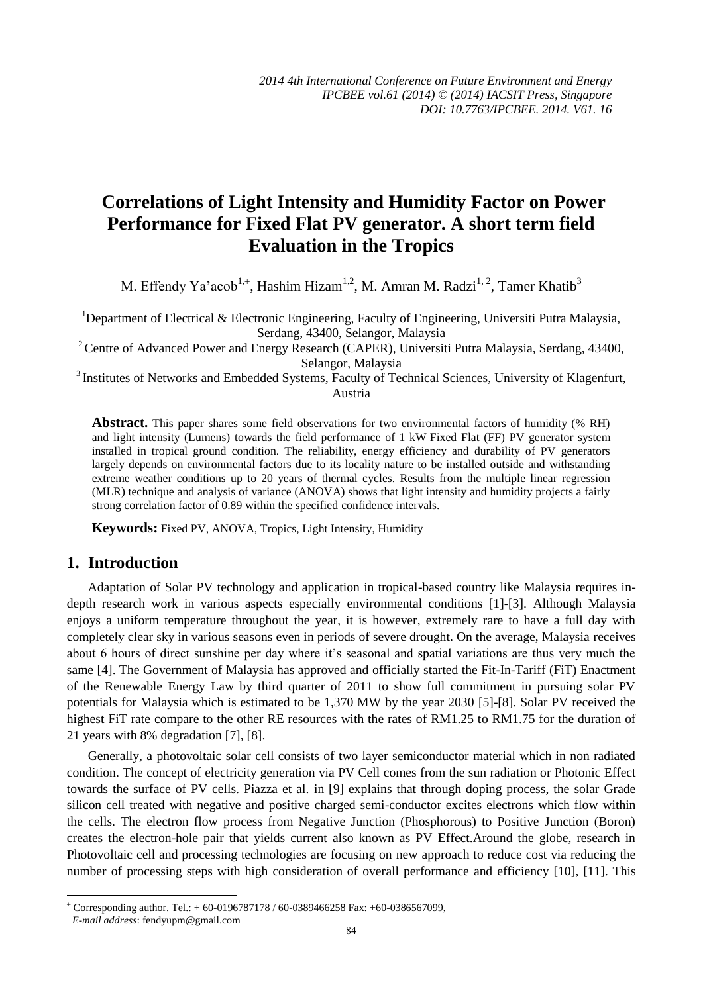# **Correlations of Light Intensity and Humidity Factor on Power Performance for Fixed Flat PV generator. A short term field Evaluation in the Tropics**

M. Effendy Ya'acob<sup>1,+</sup>, Hashim Hizam<sup>1,2</sup>, M. Amran M. Radzi<sup>1, 2</sup>, Tamer Khatib<sup>3</sup>

<sup>1</sup>Department of Electrical & Electronic Engineering, Faculty of Engineering, Universiti Putra Malaysia, Serdang, 43400, Selangor, Malaysia

<sup>2</sup> Centre of Advanced Power and Energy Research (CAPER), Universiti Putra Malaysia, Serdang, 43400, Selangor, Malaysia

<sup>3</sup> Institutes of Networks and Embedded Systems, Faculty of Technical Sciences, University of Klagenfurt, Austria

**Abstract.** This paper shares some field observations for two environmental factors of humidity (% RH) and light intensity (Lumens) towards the field performance of 1 kW Fixed Flat (FF) PV generator system installed in tropical ground condition. The reliability, energy efficiency and durability of PV generators largely depends on environmental factors due to its locality nature to be installed outside and withstanding extreme weather conditions up to 20 years of thermal cycles. Results from the multiple linear regression (MLR) technique and analysis of variance (ANOVA) shows that light intensity and humidity projects a fairly strong correlation factor of 0.89 within the specified confidence intervals.

**Keywords:** Fixed PV, ANOVA, Tropics, Light Intensity, Humidity

### **1. Introduction**

Adaptation of Solar PV technology and application in tropical-based country like Malaysia requires indepth research work in various aspects especially environmental conditions [1]-[3]. Although Malaysia enjoys a uniform temperature throughout the year, it is however, extremely rare to have a full day with completely clear sky in various seasons even in periods of severe drought. On the average, Malaysia receives about 6 hours of direct sunshine per day where it's seasonal and spatial variations are thus very much the same [4]. The Government of Malaysia has approved and officially started the Fit-In-Tariff (FiT) Enactment of the Renewable Energy Law by third quarter of 2011 to show full commitment in pursuing solar PV potentials for Malaysia which is estimated to be 1,370 MW by the year 2030 [5]-[8]. Solar PV received the highest FiT rate compare to the other RE resources with the rates of RM1.25 to RM1.75 for the duration of 21 years with 8% degradation [7], [8].

Generally, a photovoltaic solar cell consists of two layer semiconductor material which in non radiated condition. The concept of electricity generation via PV Cell comes from the sun radiation or Photonic Effect towards the surface of PV cells. Piazza et al. in [9] explains that through doping process, the solar Grade silicon cell treated with negative and positive charged semi-conductor excites electrons which flow within the cells. The electron flow process from Negative Junction (Phosphorous) to Positive Junction (Boron) creates the electron-hole pair that yields current also known as PV Effect.Around the globe, research in Photovoltaic cell and processing technologies are focusing on new approach to reduce cost via reducing the number of processing steps with high consideration of overall performance and efficiency [10], [11]. This

1

 $+$  Corresponding author. Tel.:  $+$  60-0196787178 / 60-0389466258 Fax:  $+$  60-0386567099,

*E-mail address*: fendyupm@gmail.com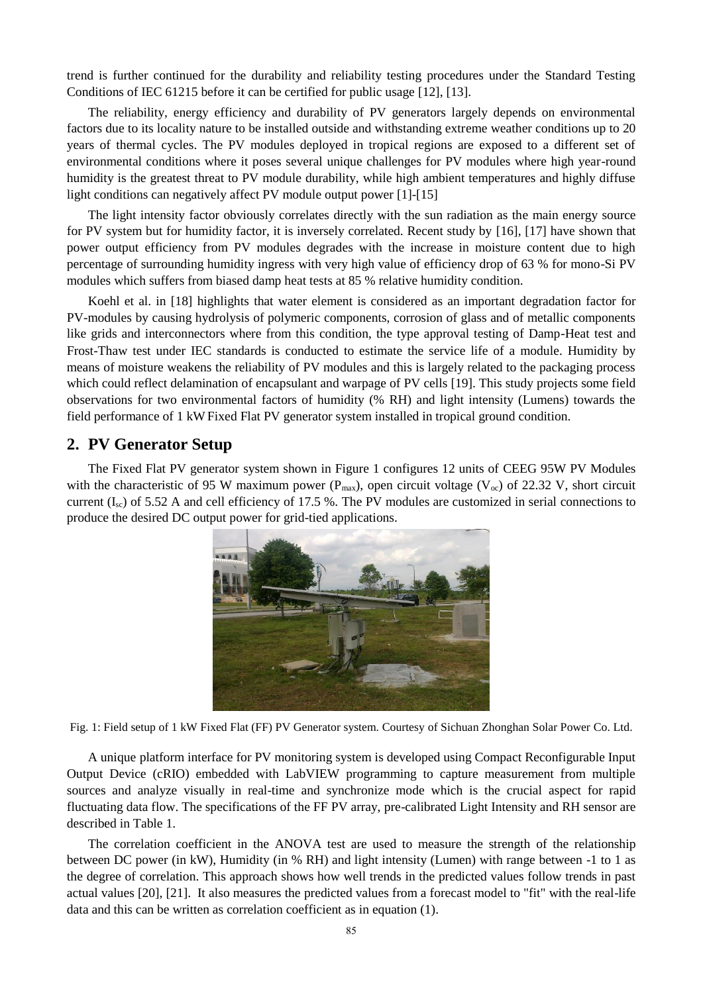trend is further continued for the durability and reliability testing procedures under the Standard Testing Conditions of IEC 61215 before it can be certified for public usage [12], [13].

The reliability, energy efficiency and durability of PV generators largely depends on environmental factors due to its locality nature to be installed outside and withstanding extreme weather conditions up to 20 years of thermal cycles. The PV modules deployed in tropical regions are exposed to a different set of environmental conditions where it poses several unique challenges for PV modules where high year-round humidity is the greatest threat to PV module durability, while high ambient temperatures and highly diffuse light conditions can negatively affect PV module output power [1]-[15]

The light intensity factor obviously correlates directly with the sun radiation as the main energy source for PV system but for humidity factor, it is inversely correlated. Recent study by [16], [17] have shown that power output efficiency from PV modules degrades with the increase in moisture content due to high percentage of surrounding humidity ingress with very high value of efficiency drop of 63 % for mono-Si PV modules which suffers from biased damp heat tests at 85 % relative humidity condition.

Koehl et al. in [18] highlights that water element is considered as an important degradation factor for PV-modules by causing hydrolysis of polymeric components, corrosion of glass and of metallic components like grids and interconnectors where from this condition, the type approval testing of Damp-Heat test and Frost-Thaw test under IEC standards is conducted to estimate the service life of a module. Humidity by means of moisture weakens the reliability of PV modules and this is largely related to the packaging process which could reflect delamination of encapsulant and warpage of PV cells [19]. This study projects some field observations for two environmental factors of humidity (% RH) and light intensity (Lumens) towards the field performance of 1 kW Fixed Flat PV generator system installed in tropical ground condition.

## **2. PV Generator Setup**

The Fixed Flat PV generator system shown in Figure 1 configures 12 units of CEEG 95W PV Modules with the characteristic of 95 W maximum power ( $P_{max}$ ), open circuit voltage ( $V_{oc}$ ) of 22.32 V, short circuit current  $(I_{\rm sc})$  of 5.52 A and cell efficiency of 17.5 %. The PV modules are customized in serial connections to produce the desired DC output power for grid-tied applications.



Fig. 1: Field setup of 1 kW Fixed Flat (FF) PV Generator system. Courtesy of Sichuan Zhonghan Solar Power Co. Ltd.

A unique platform interface for PV monitoring system is developed using Compact Reconfigurable Input Output Device (cRIO) embedded with LabVIEW programming to capture measurement from multiple sources and analyze visually in real-time and synchronize mode which is the crucial aspect for rapid fluctuating data flow. The specifications of the FF PV array, pre-calibrated Light Intensity and RH sensor are described in Table 1.

The correlation coefficient in the ANOVA test are used to measure the strength of the relationship between DC power (in kW), Humidity (in % RH) and light intensity (Lumen) with range between -1 to 1 as the degree of correlation. This approach shows how well trends in the predicted values follow trends in past actual values [20], [21]. It also measures the predicted values from a forecast model to "fit" with the real-life data and this can be written as correlation coefficient as in equation (1).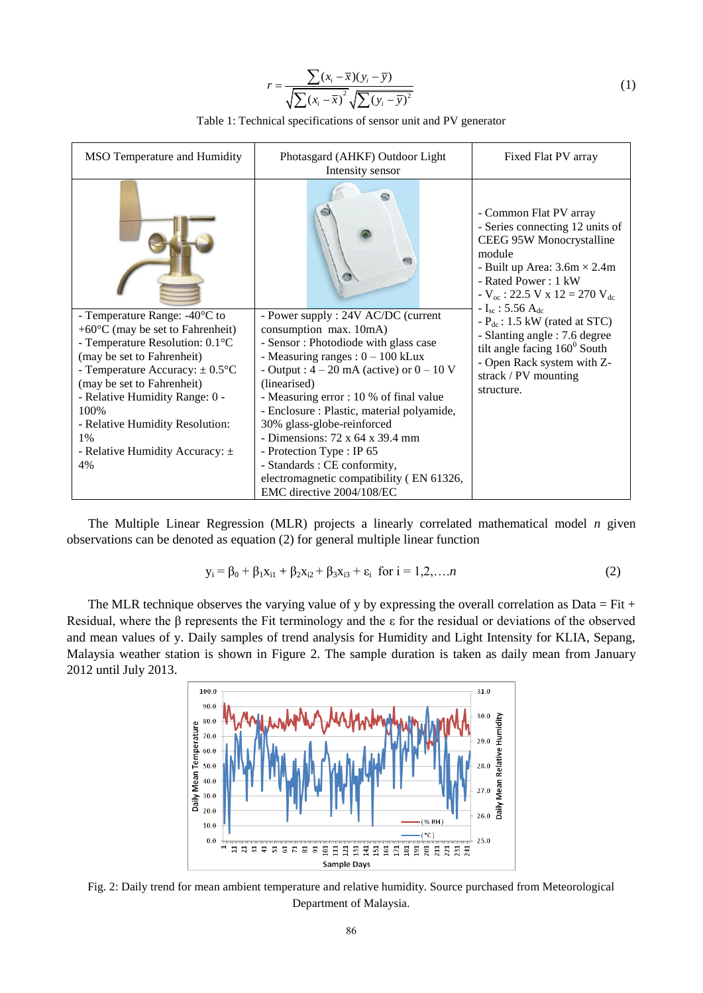$$
r = \frac{\sum (x_i - \overline{x})(y_i - \overline{y})}{\sqrt{\sum (x_i - \overline{x})^2} \sqrt{\sum (y_i - \overline{y})^2}}
$$
(1)

Table 1: Technical specifications of sensor unit and PV generator

| MSO Temperature and Humidity                                                                                                                                                                                                                                                                                                                                             | Fixed Flat PV array                                                                                                                                                                                                                                                                                                                                                                                                                                                                                                       |                                                                                                                                                                                                                                                               |  |
|--------------------------------------------------------------------------------------------------------------------------------------------------------------------------------------------------------------------------------------------------------------------------------------------------------------------------------------------------------------------------|---------------------------------------------------------------------------------------------------------------------------------------------------------------------------------------------------------------------------------------------------------------------------------------------------------------------------------------------------------------------------------------------------------------------------------------------------------------------------------------------------------------------------|---------------------------------------------------------------------------------------------------------------------------------------------------------------------------------------------------------------------------------------------------------------|--|
|                                                                                                                                                                                                                                                                                                                                                                          |                                                                                                                                                                                                                                                                                                                                                                                                                                                                                                                           | - Common Flat PV array<br>- Series connecting 12 units of<br>CEEG 95W Monocrystalline<br>module<br>- Built up Area: $3.6m \times 2.4m$<br>- Rated Power: 1 kW<br>$-V_{\text{oc}}$ : 22.5 V x 12 = 270 V <sub>dc</sub><br>$-I_{\rm sc}$ : 5.56 A <sub>de</sub> |  |
| - Temperature Range: -40 $\mathbb C$ to<br>+60 $\mathcal{C}$ (may be set to Fahrenheit)<br>- Temperature Resolution: $0.1 \text{ C}$<br>(may be set to Fahrenheit)<br>- Temperature Accuracy: $\pm 0.5$ °C<br>(may be set to Fahrenheit)<br>- Relative Humidity Range: 0 -<br>100%<br>- Relative Humidity Resolution:<br>1%<br>- Relative Humidity Accuracy: $\pm$<br>4% | - Power supply : 24V AC/DC (current<br>consumption max. 10mA)<br>- Sensor: Photodiode with glass case<br>- Measuring ranges : $0 - 100$ kLux<br>- Output : $4 - 20$ mA (active) or $0 - 10$ V<br>(linearised)<br>- Measuring error : 10 % of final value<br>- Enclosure : Plastic, material polyamide,<br>30% glass-globe-reinforced<br>- Dimensions: $72 \times 64 \times 39.4$ mm<br>- Protection Type : IP 65<br>- Standards : CE conformity,<br>electromagnetic compatibility (EN 61326,<br>EMC directive 2004/108/EC | $-P_{dc}: 1.5$ kW (rated at STC)<br>- Slanting angle: 7.6 degree<br>tilt angle facing $160^{\circ}$ South<br>- Open Rack system with Z-<br>strack / PV mounting<br>structure.                                                                                 |  |

The Multiple Linear Regression (MLR) projects a linearly correlated mathematical model *n* given observations can be denoted as equation (2) for general multiple linear function

$$
y_i = \beta_0 + \beta_1 x_{i1} + \beta_2 x_{i2} + \beta_3 x_{i3} + \varepsilon_i \text{ for } i = 1, 2, ..., n
$$
 (2)

The MLR technique observes the varying value of y by expressing the overall correlation as Data = Fit + Residual, where the β represents the Fit terminology and the ε for the residual or deviations of the observed and mean values of y. Daily samples of trend analysis for Humidity and Light Intensity for KLIA, Sepang, Malaysia weather station is shown in Figure 2. The sample duration is taken as daily mean from January 2012 until July 2013.



Fig. 2: Daily trend for mean ambient temperature and relative humidity. Source purchased from Meteorological Department of Malaysia.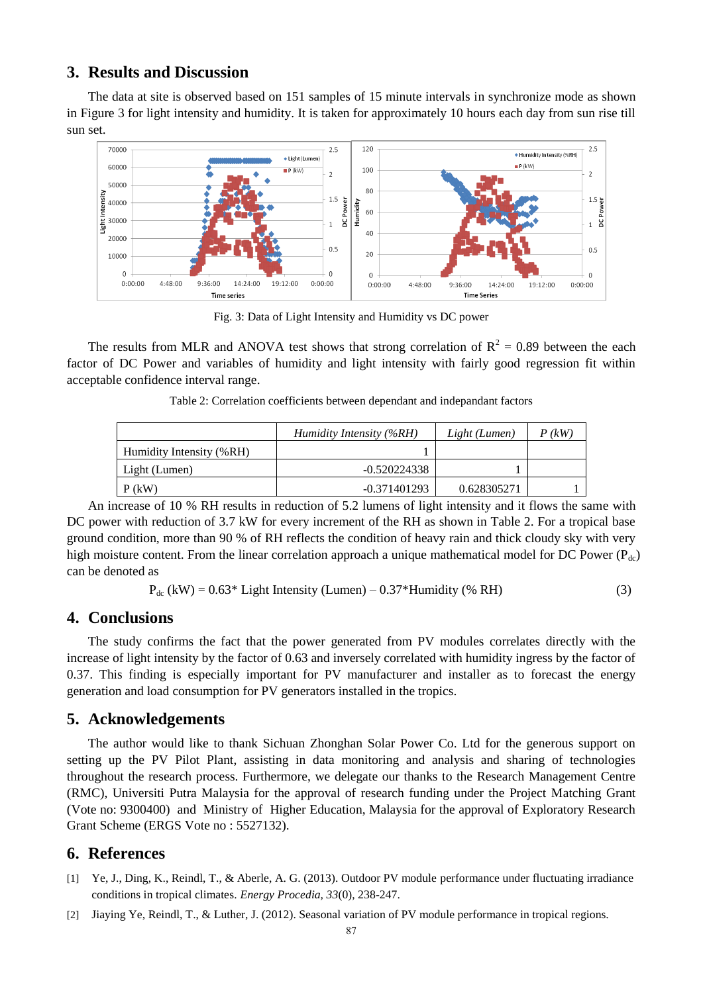## **3. Results and Discussion**

The data at site is observed based on 151 samples of 15 minute intervals in synchronize mode as shown in Figure 3 for light intensity and humidity. It is taken for approximately 10 hours each day from sun rise till sun set.



Fig. 3: Data of Light Intensity and Humidity vs DC power

The results from MLR and ANOVA test shows that strong correlation of  $R^2 = 0.89$  between the each factor of DC Power and variables of humidity and light intensity with fairly good regression fit within acceptable confidence interval range.

|  | Table 2: Correlation coefficients between dependant and indepandant factors |  |  |  |
|--|-----------------------------------------------------------------------------|--|--|--|
|  |                                                                             |  |  |  |

|                          | Humidity Intensity (%RH) | Light (Lumen) | $P$ (kW) |
|--------------------------|--------------------------|---------------|----------|
| Humidity Intensity (%RH) |                          |               |          |
| Light (Lumen)            | $-0.520224338$           |               |          |
| $P$ (kW)                 | -0.371401293             | 0.628305271   |          |

An increase of 10 % RH results in reduction of 5.2 lumens of light intensity and it flows the same with DC power with reduction of 3.7 kW for every increment of the RH as shown in Table 2. For a tropical base ground condition, more than 90 % of RH reflects the condition of heavy rain and thick cloudy sky with very high moisture content. From the linear correlation approach a unique mathematical model for DC Power ( $P_{dc}$ ) can be denoted as

 $P_{dc}$  (kW) = 0.63\* Light Intensity (Lumen) – 0.37\*Humidity (% RH) (3)

### **4. Conclusions**

The study confirms the fact that the power generated from PV modules correlates directly with the increase of light intensity by the factor of 0.63 and inversely correlated with humidity ingress by the factor of 0.37. This finding is especially important for PV manufacturer and installer as to forecast the energy generation and load consumption for PV generators installed in the tropics.

#### **5. Acknowledgements**

The author would like to thank Sichuan Zhonghan Solar Power Co. Ltd for the generous support on setting up the PV Pilot Plant, assisting in data monitoring and analysis and sharing of technologies throughout the research process. Furthermore, we delegate our thanks to the Research Management Centre (RMC), Universiti Putra Malaysia for the approval of research funding under the Project Matching Grant (Vote no: 9300400) and Ministry of Higher Education, Malaysia for the approval of Exploratory Research Grant Scheme (ERGS Vote no : 5527132).

## **6. References**

- [1] Ye, J., Ding, K., Reindl, T., & Aberle, A. G. (2013). Outdoor PV module performance under fluctuating irradiance conditions in tropical climates. *Energy Procedia, 33*(0), 238-247.
- [2] Jiaying Ye, Reindl, T., & Luther, J. (2012). Seasonal variation of PV module performance in tropical regions.